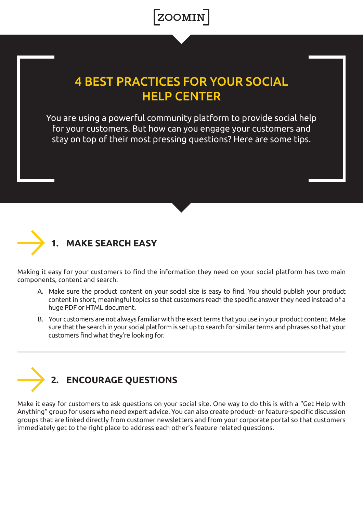

## **4 BEST PRACTICES FOR YOUR SOCIAL HELP CENTER**

You are using a powerful community platform to provide social help for your customers. But how can you engage your customers and stay on top of their most pressing questions? Here are some tips.



## **MAKE SEARCH EASY**

Making it easy for your customers to find the information they need on your social platform has two main components, content and search:

- A. Make sure the product content on your social site is easy to find. You should publish your product content in short, meaningful topics so that customers reach the specific answer they need instead of a huge PDF or HTML document.
- B. Your customers are not always familiar with the exact terms that you use in your product content. Make sure that the search in your social platform is set up to search for similar terms and phrases so that your customers find what they're looking for.



Make it easy for customers to ask questions on your social site. One way to do this is with a "Get Help with Anything" group for users who need expert advice. You can also create product- or feature-specific discussion groups that are linked directly from customer newsletters and from your corporate portal so that customers immediately get to the right place to address each other's feature-related questions.